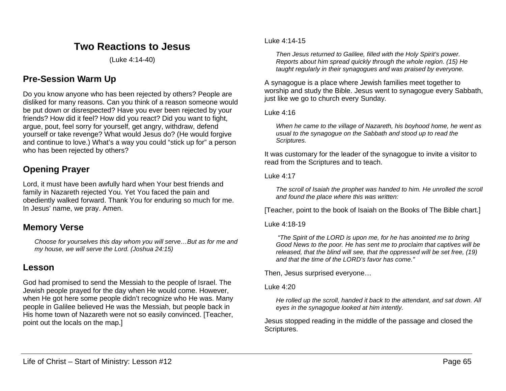# **Two Reactions to Jesus**

(Luke 4:14-40)

## **Pre-Session Warm Up**

Do you know anyone who has been rejected by others? People are disliked for many reasons. Can you think of a reason someone would be put down or disrespected? Have you ever been rejected by your friends? How did it feel? How did you react? Did you want to fight, argue, pout, feel sorry for yourself, get angry, withdraw, defend yourself or take revenge? What would Jesus do? (He would forgive and continue to love.) What's a way you could "stick up for" a person who has been rejected by others?

# **Opening Prayer**

Lord, it must have been awfully hard when Your best friends and family in Nazareth rejected You. Yet You faced the pain and obediently walked forward. Thank You for enduring so much for me. In Jesus' name, we pray. Amen.

## **Memory Verse**

*Choose for yourselves this day whom you will serve…But as for me and my house, we will serve the Lord. (Joshua 24:15)*

## **Lesson**

God had promised to send the Messiah to the people of Israel. The Jewish people prayed for the day when He would come. However, when He got here some people didn't recognize who He was. Many people in Galilee believed He was the Messiah, but people back in His home town of Nazareth were not so easily convinced. [Teacher, point out the locals on the map.]

#### Luke 4:14-15

*Then Jesus returned to Galilee, filled with the Holy Spirit's power. Reports about him spread quickly through the whole region. (15) He taught regularly in their synagogues and was praised by everyone.*

A synagogue is a place where Jewish families meet together to worship and study the Bible. Jesus went to synagogue every Sabbath, just like we go to church every Sunday.

#### Luke 4:16

*When he came to the village of Nazareth, his boyhood home, he went as usual to the synagogue on the Sabbath and stood up to read the Scriptures.*

It was customary for the leader of the synagogue to invite a visitor to read from the Scriptures and to teach.

#### Luke 4:17

*The scroll of Isaiah the prophet was handed to him. He unrolled the scroll and found the place where this was written:*

[Teacher, point to the book of Isaiah on the Books of The Bible chart.]

#### Luke 4:18-19

*"The Spirit of the LORD is upon me, for he has anointed me to bring Good News to the poor. He has sent me to proclaim that captives will be released, that the blind will see, that the oppressed will be set free, (19) and that the time of the LORD's favor has come."*

Then, Jesus surprised everyone…

#### Luke 4:20

*He rolled up the scroll, handed it back to the attendant, and sat down. All eyes in the synagogue looked at him intently.*

Jesus stopped reading in the middle of the passage and closed the Scriptures.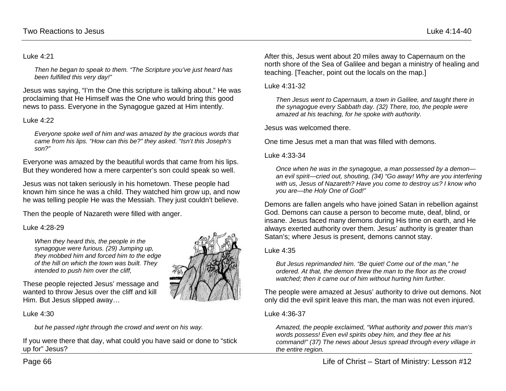#### Luke 4:21

*Then he began to speak to them. "The Scripture you've just heard has been fulfilled this very day!"*

Jesus was saying, "I'm the One this scripture is talking about." He was proclaiming that He Himself was the One who would bring this good news to pass. Everyone in the Synagogue gazed at Him intently.

#### Luke 4:22

*Everyone spoke well of him and was amazed by the gracious words that came from his lips. "How can this be?" they asked. "Isn't this Joseph's son?"*

Everyone was amazed by the beautiful words that came from his lips. But they wondered how a mere carpenter's son could speak so well.

Jesus was not taken seriously in his hometown. These people had known him since he was a child. They watched him grow up, and now he was telling people He was the Messiah. They just couldn't believe.

Then the people of Nazareth were filled with anger.

### Luke 4:28-29

*When they heard this, the people in the synagogue were furious. (29) Jumping up, they mobbed him and forced him to the edge of the hill on which the town was built. They intended to push him over the cliff,*

These people rejected Jesus' message and wanted to throw Jesus over the cliff and kill Him. But Jesus slipped away…

Luke 4:30

*but he passed right through the crowd and went on his way.*

If you were there that day, what could you have said or done to "stick up for" Jesus?

Luke 4:35

Satan's; where Jesus is present, demons cannot stay.

After this, Jesus went about 20 miles away to Capernaum on the north shore of the Sea of Galilee and began a ministry of healing and

*Then Jesus went to Capernaum, a town in Galilee, and taught there in the synagogue every Sabbath day. (32) There, too, the people were* 

*Once when he was in the synagogue, a man possessed by a demon an evil spirit—cried out, shouting, (34) "Go away! Why are you interfering with us, Jesus of Nazareth? Have you come to destroy us? I know who* 

Demons are fallen angels who have joined Satan in rebellion against God. Demons can cause a person to become mute, deaf, blind, or insane. Jesus faced many demons during His time on earth, and He always exerted authority over them. Jesus' authority is greater than

teaching. [Teacher, point out the locals on the map.]

*amazed at his teaching, for he spoke with authority.*

One time Jesus met a man that was filled with demons.

*But Jesus reprimanded him. "Be quiet! Come out of the man," he ordered. At that, the demon threw the man to the floor as the crowd watched; then it came out of him without hurting him further.* 

The people were amazed at Jesus' authority to drive out demons. Not only did the evil spirit leave this man, the man was not even injured.

#### Luke 4:36-37

Luke 4:31-32

Luke 4:33-34

Jesus was welcomed there.

*you are—the Holy One of God!"*

*Amazed, the people exclaimed, "What authority and power this man's words possess! Even evil spirits obey him, and they flee at his command!" (37) The news about Jesus spread through every village in the entire region.*

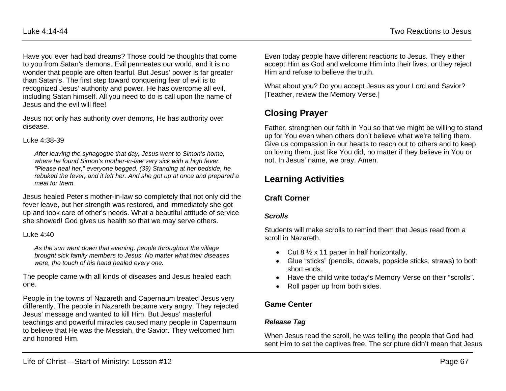Have you ever had bad dreams? Those could be thoughts that come to you from Satan's demons. Evil permeates our world, and it is no wonder that people are often fearful. But Jesus' power is far greater than Satan's. The first step toward conquering fear of evil is to recognized Jesus' authority and power. He has overcome all evil, including Satan himself. All you need to do is call upon the name of Jesus and the evil will flee!

Jesus not only has authority over demons, He has authority over disease.

#### Luke 4:38-39

*After leaving the synagogue that day, Jesus went to Simon's home, where he found Simon's mother-in-law very sick with a high fever. "Please heal her," everyone begged. (39) Standing at her bedside, he rebuked the fever, and it left her. And she got up at once and prepared a meal for them.*

Jesus healed Peter's mother-in-law so completely that not only did the fever leave, but her strength was restored, and immediately she got up and took care of other's needs. What a beautiful attitude of service she showed! God gives us health so that we may serve others.

### Luke 4:40

*As the sun went down that evening, people throughout the village brought sick family members to Jesus. No matter what their diseases were, the touch of his hand healed every one.*

The people came with all kinds of diseases and Jesus healed each one.

People in the towns of Nazareth and Capernaum treated Jesus very differently. The people in Nazareth became very angry. They rejected Jesus' message and wanted to kill Him. But Jesus' masterful teachings and powerful miracles caused many people in Capernaum to believe that He was the Messiah, the Savior. They welcomed him and honored Him.

Even today people have different reactions to Jesus. They either accept Him as God and welcome Him into their lives; or they reject Him and refuse to believe the truth.

What about you? Do you accept Jesus as your Lord and Savior? [Teacher, review the Memory Verse.]

# **Closing Prayer**

Father, strengthen our faith in You so that we might be willing to stand up for You even when others don't believe what we're telling them. Give us compassion in our hearts to reach out to others and to keep on loving them, just like You did, no matter if they believe in You or not. In Jesus' name, we pray. Amen.

# **Learning Activities**

## **Craft Corner**

### *Scrolls*

Students will make scrolls to remind them that Jesus read from a scroll in Nazareth.

- Cut  $8\frac{1}{2} \times 11$  paper in half horizontally.
- Glue "sticks" (pencils, dowels, popsicle sticks, straws) to both short ends.
- Have the child write today's Memory Verse on their "scrolls".
- Roll paper up from both sides.

## **Game Center**

## *Release Tag*

When Jesus read the scroll, he was telling the people that God had sent Him to set the captives free. The scripture didn't mean that Jesus